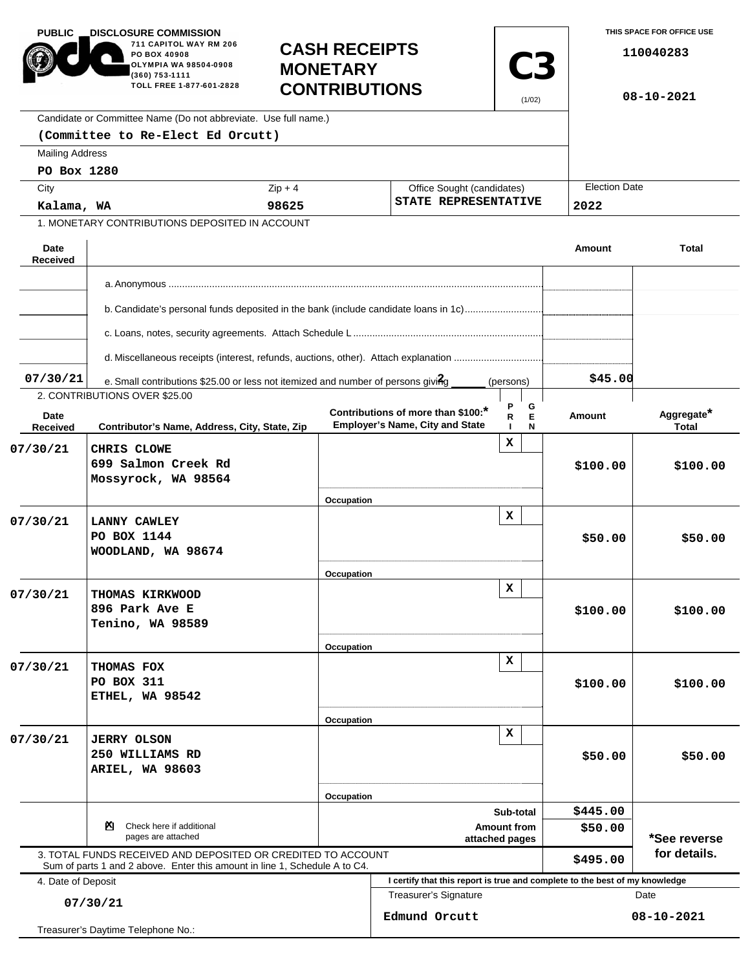| <b>PUBLIC</b>                                                                                                                              | <b>.DISCLOSURE COMMISSION</b><br>711 CAPITOL WAY RM 206<br>PO BOX 40908<br>OLYMPIA WA 98504-0908<br><b>MONETARY</b><br>(360) 753-1111<br>TOLL FREE 1-877-601-2828 |            | <b>CASH RECEIPTS</b><br><b>C3</b><br><b>CONTRIBUTIONS</b>                    |                                                    |                      | THIS SPACE FOR OFFICE USE<br>110040283<br>08-10-2021 |  |
|--------------------------------------------------------------------------------------------------------------------------------------------|-------------------------------------------------------------------------------------------------------------------------------------------------------------------|------------|------------------------------------------------------------------------------|----------------------------------------------------|----------------------|------------------------------------------------------|--|
|                                                                                                                                            | Candidate or Committee Name (Do not abbreviate. Use full name.)                                                                                                   |            |                                                                              |                                                    |                      |                                                      |  |
|                                                                                                                                            | (Committee to Re-Elect Ed Orcutt)                                                                                                                                 |            |                                                                              |                                                    |                      |                                                      |  |
| <b>Mailing Address</b>                                                                                                                     |                                                                                                                                                                   |            |                                                                              |                                                    |                      |                                                      |  |
| PO Box 1280                                                                                                                                |                                                                                                                                                                   |            |                                                                              |                                                    | <b>Election Date</b> |                                                      |  |
| City                                                                                                                                       |                                                                                                                                                                   | $Zip + 4$  |                                                                              | Office Sought (candidates)<br>STATE REPRESENTATIVE |                      |                                                      |  |
| 98625<br>Kalama, WA<br>1. MONETARY CONTRIBUTIONS DEPOSITED IN ACCOUNT                                                                      |                                                                                                                                                                   |            |                                                                              |                                                    | 2022                 |                                                      |  |
|                                                                                                                                            |                                                                                                                                                                   |            |                                                                              |                                                    |                      |                                                      |  |
| Date<br><b>Received</b>                                                                                                                    |                                                                                                                                                                   |            |                                                                              |                                                    | Amount               | <b>Total</b>                                         |  |
|                                                                                                                                            |                                                                                                                                                                   |            |                                                                              |                                                    |                      |                                                      |  |
|                                                                                                                                            | b. Candidate's personal funds deposited in the bank (include candidate loans in 1c)                                                                               |            |                                                                              |                                                    |                      |                                                      |  |
|                                                                                                                                            |                                                                                                                                                                   |            |                                                                              |                                                    |                      |                                                      |  |
|                                                                                                                                            | d. Miscellaneous receipts (interest, refunds, auctions, other). Attach explanation                                                                                |            |                                                                              |                                                    |                      |                                                      |  |
| 07/30/21                                                                                                                                   | e. Small contributions \$25.00 or less not itemized and number of persons giviAg                                                                                  |            |                                                                              |                                                    | \$45.00              |                                                      |  |
|                                                                                                                                            | 2. CONTRIBUTIONS OVER \$25.00                                                                                                                                     |            |                                                                              | (persons)                                          |                      |                                                      |  |
| Date<br>Received                                                                                                                           | Contributor's Name, Address, City, State, Zip                                                                                                                     |            | Contributions of more than \$100:*<br><b>Employer's Name, City and State</b> | P<br>G<br>E<br>R<br>N                              | Amount               | Aggregate*<br>Total                                  |  |
| 07/30/21                                                                                                                                   | CHRIS CLOWE<br>699 Salmon Creek Rd<br>Mossyrock, WA 98564                                                                                                         |            |                                                                              | x                                                  | \$100.00             | \$100.00                                             |  |
|                                                                                                                                            |                                                                                                                                                                   | Occupation |                                                                              | x                                                  |                      |                                                      |  |
| 07/30/21                                                                                                                                   | <b>LANNY CAWLEY</b>                                                                                                                                               |            |                                                                              |                                                    |                      |                                                      |  |
|                                                                                                                                            | PO BOX 1144<br>WOODLAND, WA 98674                                                                                                                                 |            |                                                                              |                                                    | \$50.00              | \$50.00                                              |  |
|                                                                                                                                            |                                                                                                                                                                   |            |                                                                              |                                                    |                      |                                                      |  |
|                                                                                                                                            |                                                                                                                                                                   | Occupation |                                                                              | x                                                  |                      |                                                      |  |
| 07/30/21                                                                                                                                   | THOMAS KIRKWOOD<br>896 Park Ave E<br>Tenino, WA 98589                                                                                                             |            |                                                                              |                                                    | \$100.00             | \$100.00                                             |  |
|                                                                                                                                            |                                                                                                                                                                   | Occupation |                                                                              |                                                    |                      |                                                      |  |
| 07/30/21                                                                                                                                   | THOMAS FOX                                                                                                                                                        |            |                                                                              | x                                                  |                      |                                                      |  |
|                                                                                                                                            | PO BOX 311                                                                                                                                                        |            |                                                                              |                                                    | \$100.00             | \$100.00                                             |  |
|                                                                                                                                            | ETHEL, WA 98542                                                                                                                                                   |            |                                                                              |                                                    |                      |                                                      |  |
|                                                                                                                                            |                                                                                                                                                                   | Occupation |                                                                              |                                                    |                      |                                                      |  |
| 07/30/21                                                                                                                                   | <b>JERRY OLSON</b>                                                                                                                                                |            |                                                                              | x                                                  |                      |                                                      |  |
|                                                                                                                                            | 250 WILLIAMS RD                                                                                                                                                   |            |                                                                              |                                                    |                      | \$50.00                                              |  |
|                                                                                                                                            | <b>ARIEL, WA 98603</b>                                                                                                                                            |            |                                                                              |                                                    |                      |                                                      |  |
|                                                                                                                                            |                                                                                                                                                                   | Occupation |                                                                              |                                                    |                      |                                                      |  |
|                                                                                                                                            |                                                                                                                                                                   |            | Sub-total                                                                    |                                                    | \$445.00             |                                                      |  |
| Check here if additional<br>ॺ<br>pages are attached                                                                                        |                                                                                                                                                                   |            | <b>Amount from</b><br>attached pages                                         |                                                    | \$50.00              | *See reverse                                         |  |
| 3. TOTAL FUNDS RECEIVED AND DEPOSITED OR CREDITED TO ACCOUNT<br>Sum of parts 1 and 2 above. Enter this amount in line 1, Schedule A to C4. |                                                                                                                                                                   |            |                                                                              |                                                    | \$495.00             | for details.                                         |  |
| 4. Date of Deposit                                                                                                                         |                                                                                                                                                                   |            | I certify that this report is true and complete to the best of my knowledge  |                                                    |                      |                                                      |  |
| 07/30/21                                                                                                                                   |                                                                                                                                                                   |            | Treasurer's Signature                                                        |                                                    |                      | Date                                                 |  |
|                                                                                                                                            |                                                                                                                                                                   |            | Edmund Orcutt                                                                |                                                    | 08-10-2021           |                                                      |  |
|                                                                                                                                            | Treasurer's Daytime Telephone No.:                                                                                                                                |            |                                                                              |                                                    |                      |                                                      |  |